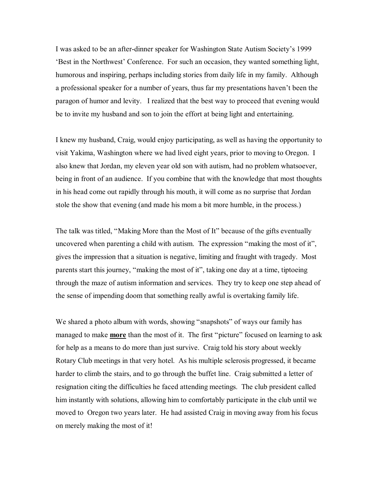I was asked to be an after-dinner speaker for Washington State Autism Society's 1999 'Best in the Northwest' Conference. For such an occasion, they wanted something light, humorous and inspiring, perhaps including stories from daily life in my family. Although a professional speaker for a number of years, thus far my presentations haven't been the paragon of humor and levity. I realized that the best way to proceed that evening would be to invite my husband and son to join the effort at being light and entertaining.

I knew my husband, Craig, would enjoy participating, as well as having the opportunity to visit Yakima, Washington where we had lived eight years, prior to moving to Oregon. I also knew that Jordan, my eleven year old son with autism, had no problem whatsoever, being in front of an audience. If you combine that with the knowledge that most thoughts in his head come out rapidly through his mouth, it will come as no surprise that Jordan stole the show that evening (and made his mom a bit more humble, in the process.)

The talk was titled, "Making More than the Most of It" because of the gifts eventually uncovered when parenting a child with autism. The expression "making the most of it", gives the impression that a situation is negative, limiting and fraught with tragedy. Most parents start this journey, "making the most of it", taking one day at a time, tiptoeing through the maze of autism information and services. They try to keep one step ahead of the sense of impending doom that something really awful is overtaking family life.

We shared a photo album with words, showing "snapshots" of ways our family has managed to make **more** than the most of it. The first "picture" focused on learning to ask for help as a means to do more than just survive. Craig told his story about weekly Rotary Club meetings in that very hotel. As his multiple sclerosis progressed, it became harder to climb the stairs, and to go through the buffet line. Craig submitted a letter of resignation citing the difficulties he faced attending meetings. The club president called him instantly with solutions, allowing him to comfortably participate in the club until we moved to Oregon two years later. He had assisted Craig in moving away from his focus on merely making the most of it!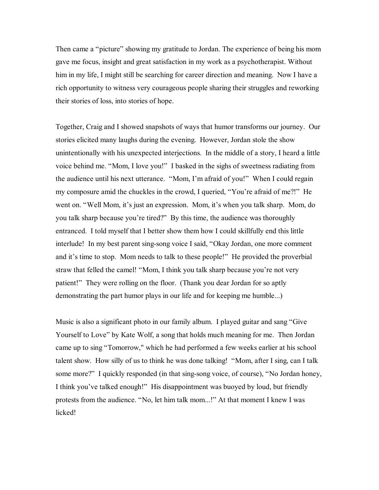Then came a "picture" showing my gratitude to Jordan. The experience of being his mom gave me focus, insight and great satisfaction in my work as a psychotherapist. Without him in my life, I might still be searching for career direction and meaning. Now I have a rich opportunity to witness very courageous people sharing their struggles and reworking their stories of loss, into stories of hope.

Together, Craig and I showed snapshots of ways that humor transforms our journey. Our stories elicited many laughs during the evening. However, Jordan stole the show unintentionally with his unexpected interjections. In the middle of a story, I heard a little voice behind me. "Mom, I love you!" I basked in the sighs of sweetness radiating from the audience until his next utterance. "Mom, I'm afraid of you!" When I could regain my composure amid the chuckles in the crowd, I queried, "You're afraid of me?!" He went on. "Well Mom, it's just an expression. Mom, it's when you talk sharp. Mom, do you talk sharp because you're tired?" By this time, the audience was thoroughly entranced. I told myself that I better show them how I could skillfully end this little interlude! In my best parent sing-song voice I said, "Okay Jordan, one more comment and it's time to stop. Mom needs to talk to these people!" He provided the proverbial straw that felled the camel! "Mom, I think you talk sharp because you're not very patient!" They were rolling on the floor. (Thank you dear Jordan for so aptly demonstrating the part humor plays in our life and for keeping me humble...)

Music is also a significant photo in our family album. I played guitar and sang "Give Yourself to Love" by Kate Wolf, a song that holds much meaning for me. Then Jordan came up to sing "Tomorrow," which he had performed a few weeks earlier at his school talent show. How silly of us to think he was done talking! "Mom, after I sing, can I talk some more?" I quickly responded (in that sing-song voice, of course), "No Jordan honey, I think you've talked enough!" His disappointment was buoyed by loud, but friendly protests from the audience. "No, let him talk mom...!" At that moment I knew I was licked!